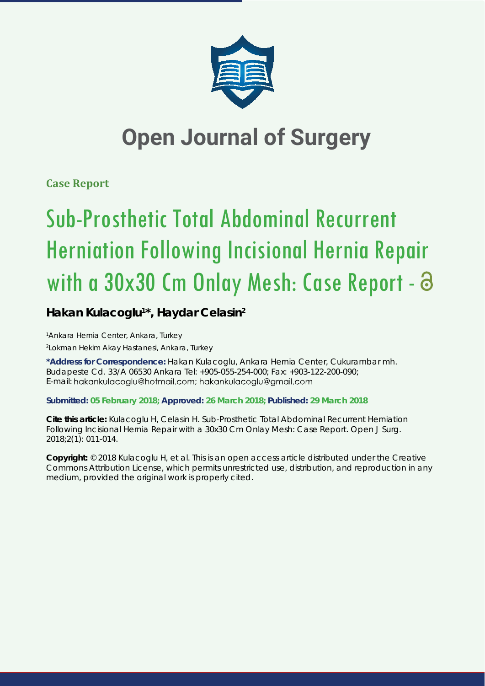

## **Open Journal of Surgery**

**Case Report**

# Sub-Prosthetic Total Abdominal Recurrent Herniation Following Incisional Hernia Repair with a 30x30 Cm Onlay Mesh: Case Report - 3

### **Hakan Kulacoglu1 \*, Haydar Celasin2**

1 Ankara Hernia Center, Ankara, Turkey

2 Lokman Hekim Akay Hastanesi, Ankara, Turkey

**\*Address for Correspondence:** Hakan Kulacoglu, Ankara Hernia Center, Cukurambar mh. Budapeste Cd. 33/A 06530 Ankara Tel: +905-055-254-000; Fax: +903-122-200-090; E-mail: hakankulacoalu@hotmail.com; hakankulacoalu@amail.com

#### **Submitted: 05 February 2018; Approved: 26 March 2018; Published: 29 March 2018**

**Cite this article:** Kulacoglu H, Celasin H. Sub-Prosthetic Total Abdominal Recurrent Herniation Following Incisional Hernia Repair with a 30x30 Cm Onlay Mesh: Case Report. Open J Surg. 2018;2(1): 011-014.

**Copyright:** © 2018 Kulacoglu H, et al. This is an open access article distributed under the Creative Commons Attribution License, which permits unrestricted use, distribution, and reproduction in any medium, provided the original work is properly cited.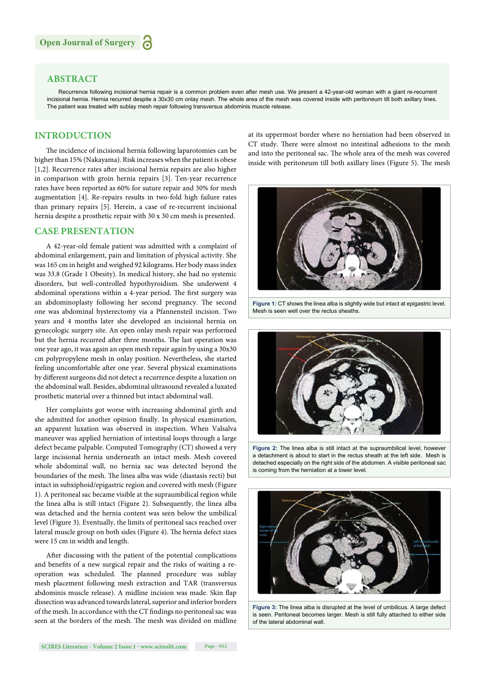#### **ABSTRACT**

Recurrence following incisional hernia repair is a common problem even after mesh use. We present a 42-year-old woman with a giant re-recurrent incisional hernia. Hernia recurred despite a 30x30 cm onlay mesh. The whole area of the mesh was covered inside with peritoneum till both axillary lines. The patient was treated with sublay mesh repair following transversus abdominis muscle release.

#### **INTRODUCTION**

The incidence of incisional hernia following laparotomies can be higher than 15% (Nakayama). Risk increases when the patient is obese  $[1,2]$ . Recurrence rates after incisional hernia repairs are also higher in comparison with groin hernia repairs [3]. Ten-year recurrence rates have been reported as 60% for suture repair and 30% for mesh augmentation [4]. Re-repairs results in two-fold high failure rates than primary repairs [5]. Herein, a case of re-recurrent incisional hernia despite a prosthetic repair with 30 x 30 cm mesh is presented.

#### **CASE PRESENTATION**

A 42-year-old female patient was admitted with a complaint of abdominal enlargement, pain and limitation of physical activity. She was 165 cm in height and weighed 92 kilograms. Her body mass index was 33.8 (Grade 1 Obesity). In medical history, she had no systemic disorders, but well-controlled hypothyroidism. She underwent 4 abdominal operations within a 4-year period. The first surgery was an abdominoplasty following her second pregnancy. The second one was abdominal hysterectomy via a Pfannensteil incision. Two years and 4 months later she developed an incisional hernia on gynecologic surgery site. An open onlay mesh repair was performed but the hernia recurred after three months. The last operation was one year ago, it was again an open mesh repair again by using a 30x30 cm polypropylene mesh in onlay position. Nevertheless, she started feeling uncomfortable after one year. Several physical examinations by different surgeons did not detect a recurrence despite a luxation on the abdominal wall. Besides, abdominal ultrasound revealed a luxated prosthetic material over a thinned but intact abdominal wall.

Her complaints got worse with increasing abdominal girth and she admitted for another opinion finally. In physical examination, an apparent luxation was observed in inspection. When Valsalva maneuver was applied herniation of intestinal loops through a large defect became palpable. Computed Tomography (CT) showed a very large incisional hernia underneath an intact mesh. Mesh covered whole abdominal wall, no hernia sac was detected beyond the boundaries of the mesh. The linea alba was wide (diastasis recti) but intact in subxiphoid/epigastric region and covered with mesh (Figure 1). A peritoneal sac became visible at the supraumbilical region while the linea alba is still intact (Figure 2). Subsequently, the linea alba was detached and the hernia content was seen below the umbilical level (Figure 3). Eventually, the limits of peritoneal sacs reached over lateral muscle group on both sides (Figure 4). The hernia defect sizes were 15 cm in width and length.

After discussing with the patient of the potential complications and benefits of a new surgical repair and the risks of waiting a reoperation was scheduled. The planned procedure was sublay mesh placement following mesh extraction and TAR (transversus abdominis muscle release). A midline incision was made. Skin flap dissection was advanced towards lateral, superior and inferior borders of the mesh. In accordance with the CT findings no peritoneal sac was seen at the borders of the mesh. The mesh was divided on midline

at its uppermost border where no herniation had been observed in CT study. There were almost no intestinal adhesions to the mesh and into the peritoneal sac. The whole area of the mesh was covered inside with peritoneum till both axillary lines (Figure 5). The mesh



**Figure 1:** CT shows the linea alba is slightly wide but intact at epigastric level. Mesh is seen well over the rectus sheaths.



**Figure 2:** The linea alba is still intact at the supraumbilical level, however a detachment is about to start in the rectus sheath at the left side. Mesh is detached especially on the right side of the abdomen. A visible peritoneal sac is coming from the herniation at a lower level.



**Figure 3:** The linea alba is disrupted at the level of umbilicus. A large defect is seen. Peritoneal becomes larger. Mesh is still fully attached to either side of the lateral abdominal wall.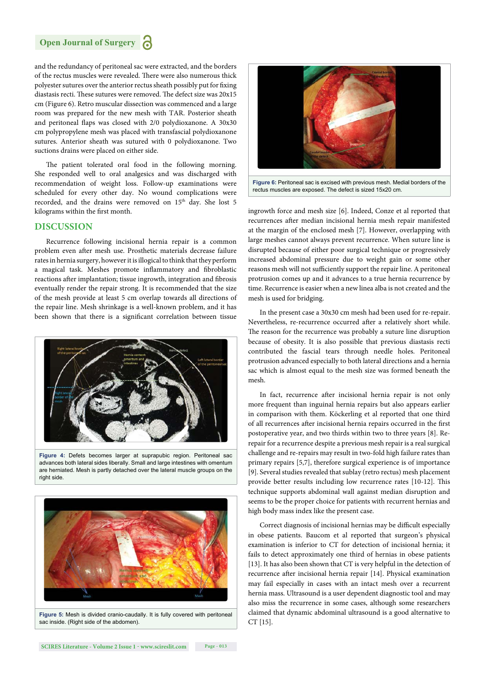#### **Open Journal of Surgery**

and the redundancy of peritoneal sac were extracted, and the borders of the rectus muscles were revealed. There were also numerous thick polyester sutures over the anterior rectus sheath possibly put for fixing diastasis recti. These sutures were removed. The defect size was  $20x15$ cm (Figure 6). Retro muscular dissection was commenced and a large room was prepared for the new mesh with TAR. Posterior sheath and peritoneal flaps was closed with 2/0 polydioxanone. A 30x30 cm polypropylene mesh was placed with transfascial polydioxanone sutures. Anterior sheath was sutured with 0 polydioxanone. Two suctions drains were placed on either side.

The patient tolerated oral food in the following morning. She responded well to oral analgesics and was discharged with recommendation of weight loss. Follow-up examinations were scheduled for every other day. No wound complications were recorded, and the drains were removed on 15<sup>th</sup> day. She lost 5 kilograms within the first month.

#### **DISCUSSION**

Recurrence following incisional hernia repair is a common problem even after mesh use. Prosthetic materials decrease failure rates in hernia surgery, however it is illogical to think that they perform a magical task. Meshes promote inflammatory and fibroblastic reactions after implantation; tissue ingrowth, integration and fibrosis eventually render the repair strong. It is recommended that the size of the mesh provide at least 5 cm overlap towards all directions of the repair line. Mesh shrinkage is a well-known problem, and it has been shown that there is a significant correlation between tissue



**Figure 4:** Defets becomes larger at suprapubic region. Peritoneal sac advances both lateral sides liberally. Small and large intestines with omentum are herniated. Mesh is partly detached over the lateral muscle groups on the right side



**Figure 5:** Mesh is divided cranio-caudally. It is fully covered with peritoneal sac inside. (Right side of the abdomen).



**Figure 6:** Peritoneal sac is excised with previous mesh. Medial borders of the rectus muscles are exposed. The defect is sized 15x20 cm.

ingrowth force and mesh size [6]. Indeed, Conze et al reported that recurrences after median incisional hernia mesh repair manifested at the margin of the enclosed mesh [7]. However, overlapping with large meshes cannot always prevent recurrence. When suture line is disrupted because of either poor surgical technique or progressively increased abdominal pressure due to weight gain or some other reasons mesh will not sufficiently support the repair line. A peritoneal protrusion comes up and it advances to a true hernia recurrence by time. Recurrence is easier when a new linea alba is not created and the mesh is used for bridging.

In the present case a 30x30 cm mesh had been used for re-repair. Nevertheless, re-recurrence occurred after a relatively short while. The reason for the recurrence was probably a suture line disruption because of obesity. It is also possible that previous diastasis recti contributed the fascial tears through needle holes. Peritoneal protrusion advanced especially to both lateral directions and a hernia sac which is almost equal to the mesh size was formed beneath the mesh.

In fact, recurrence after incisional hernia repair is not only more frequent than inguinal hernia repairs but also appears earlier in comparison with them. Köckerling et al reported that one third of all recurrences after incisional hernia repairs occurred in the first postoperative year, and two thirds within two to three years [8]. Rerepair for a recurrence despite a previous mesh repair is a real surgical challenge and re-repairs may result in two-fold high failure rates than primary repairs [5,7], therefore surgical experience is of importance [9]. Several studies revealed that sublay (retro rectus) mesh placement provide better results including low recurrence rates [10-12]. This technique supports abdominal wall against median disruption and seems to be the proper choice for patients with recurrent hernias and high body mass index like the present case.

Correct diagnosis of incisional hernias may be difficult especially in obese patients. Baucom et al reported that surgeon's physical examination is inferior to CT for detection of incisional hernia; it fails to detect approximately one third of hernias in obese patients [13]. It has also been shown that CT is very helpful in the detection of recurrence after incisional hernia repair [14]. Physical examination may fail especially in cases with an intact mesh over a recurrent hernia mass. Ultrasound is a user dependent diagnostic tool and may also miss the recurrence in some cases, although some researchers claimed that dynamic abdominal ultrasound is a good alternative to CT [15].